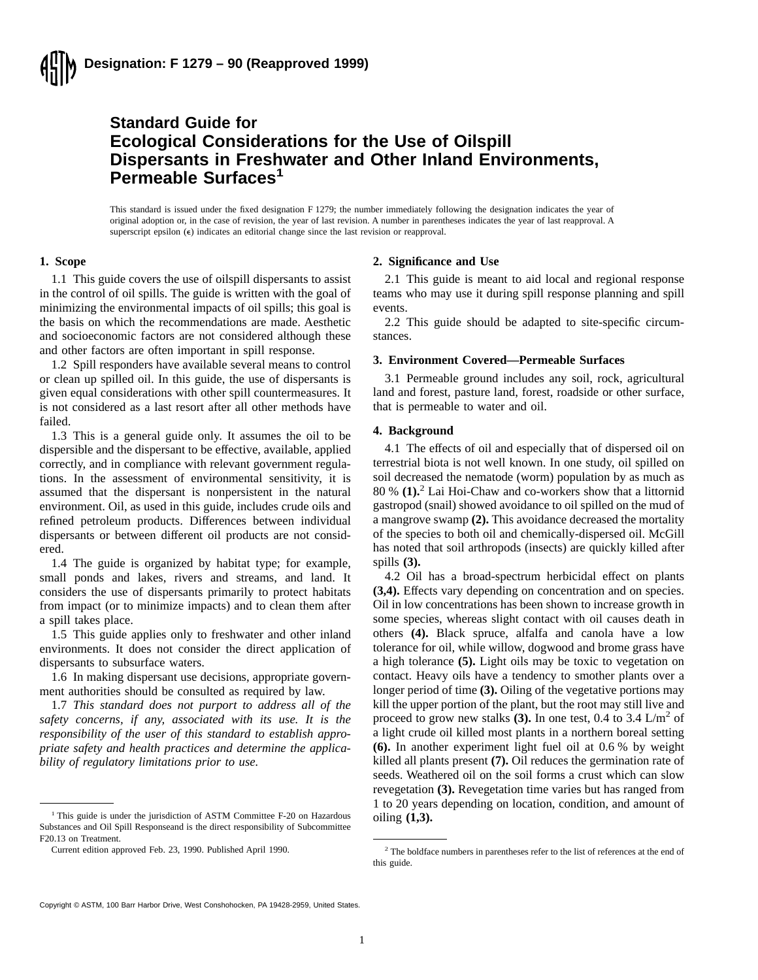# **Standard Guide for Ecological Considerations for the Use of Oilspill Dispersants in Freshwater and Other Inland Environments, Permeable Surfaces<sup>1</sup>**

This standard is issued under the fixed designation F 1279; the number immediately following the designation indicates the year of original adoption or, in the case of revision, the year of last revision. A number in parentheses indicates the year of last reapproval. A superscript epsilon  $(\epsilon)$  indicates an editorial change since the last revision or reapproval.

## **1. Scope**

1.1 This guide covers the use of oilspill dispersants to assist in the control of oil spills. The guide is written with the goal of minimizing the environmental impacts of oil spills; this goal is the basis on which the recommendations are made. Aesthetic and socioeconomic factors are not considered although these and other factors are often important in spill response.

1.2 Spill responders have available several means to control or clean up spilled oil. In this guide, the use of dispersants is given equal considerations with other spill countermeasures. It is not considered as a last resort after all other methods have failed.

1.3 This is a general guide only. It assumes the oil to be dispersible and the dispersant to be effective, available, applied correctly, and in compliance with relevant government regulations. In the assessment of environmental sensitivity, it is assumed that the dispersant is nonpersistent in the natural environment. Oil, as used in this guide, includes crude oils and refined petroleum products. Differences between individual dispersants or between different oil products are not considered.

1.4 The guide is organized by habitat type; for example, small ponds and lakes, rivers and streams, and land. It considers the use of dispersants primarily to protect habitats from impact (or to minimize impacts) and to clean them after a spill takes place.

1.5 This guide applies only to freshwater and other inland environments. It does not consider the direct application of dispersants to subsurface waters.

1.6 In making dispersant use decisions, appropriate government authorities should be consulted as required by law.

1.7 *This standard does not purport to address all of the safety concerns, if any, associated with its use. It is the responsibility of the user of this standard to establish appropriate safety and health practices and determine the applicability of regulatory limitations prior to use.*

#### **2. Significance and Use**

2.1 This guide is meant to aid local and regional response teams who may use it during spill response planning and spill events.

2.2 This guide should be adapted to site-specific circumstances.

## **3. Environment Covered—Permeable Surfaces**

3.1 Permeable ground includes any soil, rock, agricultural land and forest, pasture land, forest, roadside or other surface, that is permeable to water and oil.

#### **4. Background**

4.1 The effects of oil and especially that of dispersed oil on terrestrial biota is not well known. In one study, oil spilled on soil decreased the nematode (worm) population by as much as 80 % **(1).**<sup>2</sup> Lai Hoi-Chaw and co-workers show that a littornid gastropod (snail) showed avoidance to oil spilled on the mud of a mangrove swamp **(2).** This avoidance decreased the mortality of the species to both oil and chemically-dispersed oil. McGill has noted that soil arthropods (insects) are quickly killed after spills **(3).**

4.2 Oil has a broad-spectrum herbicidal effect on plants **(3,4).** Effects vary depending on concentration and on species. Oil in low concentrations has been shown to increase growth in some species, whereas slight contact with oil causes death in others **(4).** Black spruce, alfalfa and canola have a low tolerance for oil, while willow, dogwood and brome grass have a high tolerance **(5).** Light oils may be toxic to vegetation on contact. Heavy oils have a tendency to smother plants over a longer period of time **(3).** Oiling of the vegetative portions may kill the upper portion of the plant, but the root may still live and proceed to grow new stalks  $(3)$ . In one test, 0.4 to 3.4 L/m<sup>2</sup> of a light crude oil killed most plants in a northern boreal setting **(6).** In another experiment light fuel oil at 0.6 % by weight killed all plants present **(7).** Oil reduces the germination rate of seeds. Weathered oil on the soil forms a crust which can slow revegetation **(3).** Revegetation time varies but has ranged from 1 to 20 years depending on location, condition, and amount of

Copyright © ASTM, 100 Barr Harbor Drive, West Conshohocken, PA 19428-2959, United States.

<sup>&</sup>lt;sup>1</sup> This guide is under the jurisdiction of ASTM Committee F-20 on Hazardous oiling  $(1,3)$ . Substances and Oil Spill Responseand is the direct responsibility of Subcommittee F20.13 on Treatment.

Current edition approved Feb. 23, 1990. Published April 1990. <sup>2</sup> The boldface numbers in parentheses refer to the list of references at the end of this guide.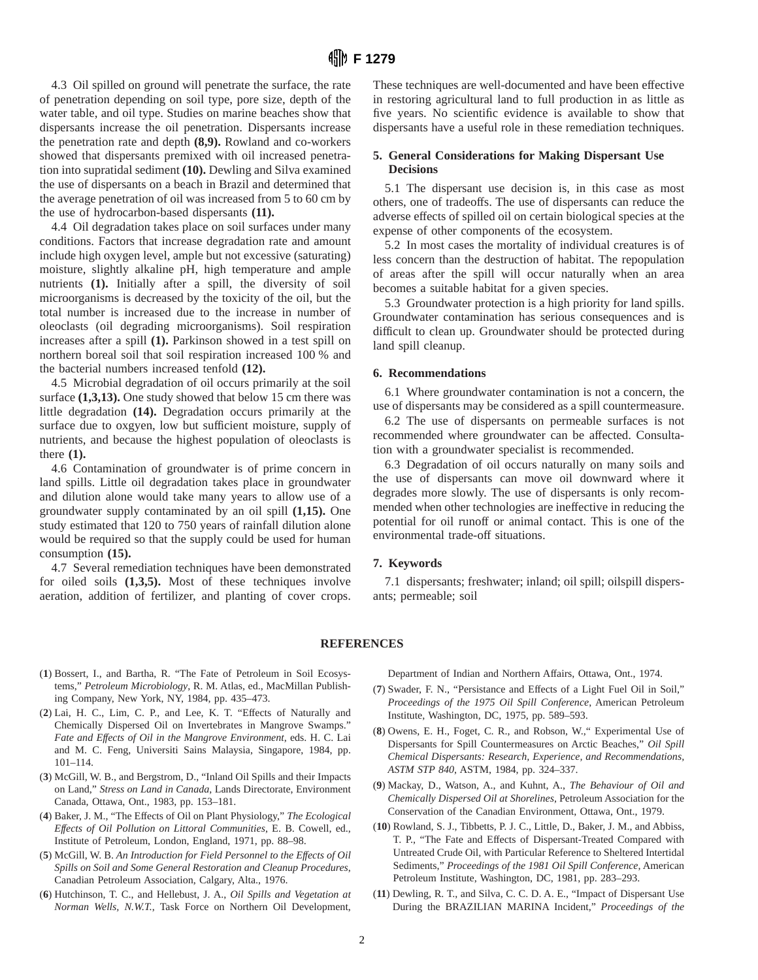4.3 Oil spilled on ground will penetrate the surface, the rate of penetration depending on soil type, pore size, depth of the water table, and oil type. Studies on marine beaches show that dispersants increase the oil penetration. Dispersants increase the penetration rate and depth **(8,9).** Rowland and co-workers showed that dispersants premixed with oil increased penetration into supratidal sediment **(10).** Dewling and Silva examined the use of dispersants on a beach in Brazil and determined that the average penetration of oil was increased from 5 to 60 cm by the use of hydrocarbon-based dispersants **(11).**

4.4 Oil degradation takes place on soil surfaces under many conditions. Factors that increase degradation rate and amount include high oxygen level, ample but not excessive (saturating) moisture, slightly alkaline pH, high temperature and ample nutrients **(1).** Initially after a spill, the diversity of soil microorganisms is decreased by the toxicity of the oil, but the total number is increased due to the increase in number of oleoclasts (oil degrading microorganisms). Soil respiration increases after a spill **(1).** Parkinson showed in a test spill on northern boreal soil that soil respiration increased 100 % and the bacterial numbers increased tenfold **(12).**

4.5 Microbial degradation of oil occurs primarily at the soil surface **(1,3,13).** One study showed that below 15 cm there was little degradation **(14).** Degradation occurs primarily at the surface due to oxgyen, low but sufficient moisture, supply of nutrients, and because the highest population of oleoclasts is there **(1).**

4.6 Contamination of groundwater is of prime concern in land spills. Little oil degradation takes place in groundwater and dilution alone would take many years to allow use of a groundwater supply contaminated by an oil spill **(1,15).** One study estimated that 120 to 750 years of rainfall dilution alone would be required so that the supply could be used for human consumption **(15).**

4.7 Several remediation techniques have been demonstrated for oiled soils **(1,3,5).** Most of these techniques involve aeration, addition of fertilizer, and planting of cover crops. These techniques are well-documented and have been effective in restoring agricultural land to full production in as little as five years. No scientific evidence is available to show that dispersants have a useful role in these remediation techniques.

## **5. General Considerations for Making Dispersant Use Decisions**

5.1 The dispersant use decision is, in this case as most others, one of tradeoffs. The use of dispersants can reduce the adverse effects of spilled oil on certain biological species at the expense of other components of the ecosystem.

5.2 In most cases the mortality of individual creatures is of less concern than the destruction of habitat. The repopulation of areas after the spill will occur naturally when an area becomes a suitable habitat for a given species.

5.3 Groundwater protection is a high priority for land spills. Groundwater contamination has serious consequences and is difficult to clean up. Groundwater should be protected during land spill cleanup.

## **6. Recommendations**

6.1 Where groundwater contamination is not a concern, the use of dispersants may be considered as a spill countermeasure.

6.2 The use of dispersants on permeable surfaces is not recommended where groundwater can be affected. Consultation with a groundwater specialist is recommended.

6.3 Degradation of oil occurs naturally on many soils and the use of dispersants can move oil downward where it degrades more slowly. The use of dispersants is only recommended when other technologies are ineffective in reducing the potential for oil runoff or animal contact. This is one of the environmental trade-off situations.

## **7. Keywords**

7.1 dispersants; freshwater; inland; oil spill; oilspill dispersants; permeable; soil

### **REFERENCES**

- (**1**) Bossert, I., and Bartha, R. "The Fate of Petroleum in Soil Ecosystems," *Petroleum Microbiology*, R. M. Atlas, ed., MacMillan Publishing Company, New York, NY, 1984, pp. 435–473.
- (**2**) Lai, H. C., Lim, C. P., and Lee, K. T. "Effects of Naturally and Chemically Dispersed Oil on Invertebrates in Mangrove Swamps." *Fate and Effects of Oil in the Mangrove Environment*, eds. H. C. Lai and M. C. Feng, Universiti Sains Malaysia, Singapore, 1984, pp. 101–114.
- (**3**) McGill, W. B., and Bergstrom, D., "Inland Oil Spills and their Impacts on Land," *Stress on Land in Canada*, Lands Directorate, Environment Canada, Ottawa, Ont., 1983, pp. 153–181.
- (**4**) Baker, J. M., "The Effects of Oil on Plant Physiology," *The Ecological Effects of Oil Pollution on Littoral Communities*, E. B. Cowell, ed., Institute of Petroleum, London, England, 1971, pp. 88–98.
- (**5**) McGill, W. B. *An Introduction for Field Personnel to the Effects of Oil Spills on Soil and Some General Restoration and Cleanup Procedures*, Canadian Petroleum Association, Calgary, Alta., 1976.
- (**6**) Hutchinson, T. C., and Hellebust, J. A., *Oil Spills and Vegetation at Norman Wells, N.W.T.*, Task Force on Northern Oil Development,

Department of Indian and Northern Affairs, Ottawa, Ont., 1974.

- (**7**) Swader, F. N., "Persistance and Effects of a Light Fuel Oil in Soil," *Proceedings of the 1975 Oil Spill Conference*, American Petroleum Institute, Washington, DC, 1975, pp. 589–593.
- (**8**) Owens, E. H., Foget, C. R., and Robson, W.," Experimental Use of Dispersants for Spill Countermeasures on Arctic Beaches," *Oil Spill Chemical Dispersants: Research, Experience, and Recommendations, ASTM STP 840*, ASTM, 1984, pp. 324–337.
- (**9**) Mackay, D., Watson, A., and Kuhnt, A., *The Behaviour of Oil and Chemically Dispersed Oil at Shorelines*, Petroleum Association for the Conservation of the Canadian Environment, Ottawa, Ont., 1979.
- (**10**) Rowland, S. J., Tibbetts, P. J. C., Little, D., Baker, J. M., and Abbiss, T. P., "The Fate and Effects of Dispersant-Treated Compared with Untreated Crude Oil, with Particular Reference to Sheltered Intertidal Sediments," *Proceedings of the 1981 Oil Spill Conference*, American Petroleum Institute, Washington, DC, 1981, pp. 283–293.
- (**11**) Dewling, R. T., and Silva, C. C. D. A. E., "Impact of Dispersant Use During the BRAZILIAN MARINA Incident," *Proceedings of the*